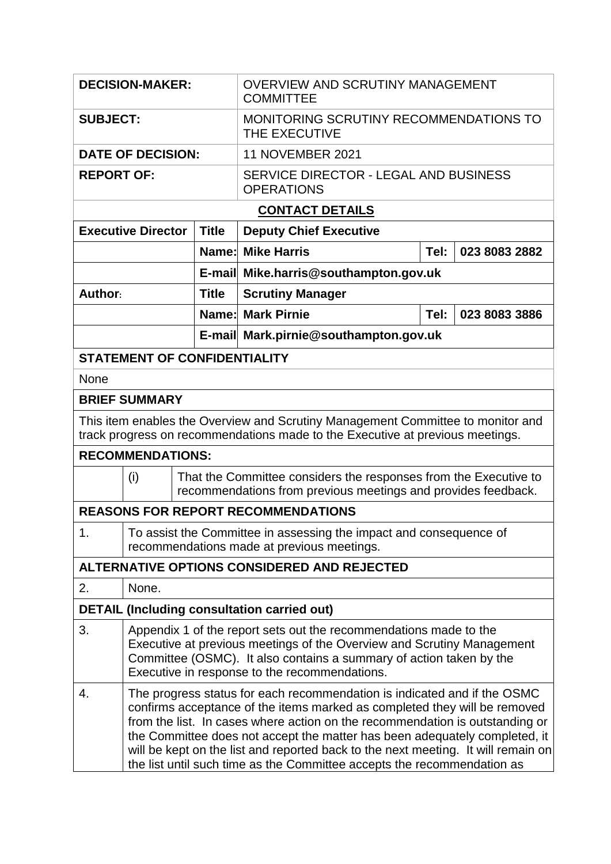| <b>DECISION-MAKER:</b>                                                                                                                                           |                                                                                                                                                                                                                                                                                                                                                                                                                                                                                     |              | <b>OVERVIEW AND SCRUTINY MANAGEMENT</b><br><b>COMMITTEE</b>                                                                       |                       |               |  |  |  |  |
|------------------------------------------------------------------------------------------------------------------------------------------------------------------|-------------------------------------------------------------------------------------------------------------------------------------------------------------------------------------------------------------------------------------------------------------------------------------------------------------------------------------------------------------------------------------------------------------------------------------------------------------------------------------|--------------|-----------------------------------------------------------------------------------------------------------------------------------|-----------------------|---------------|--|--|--|--|
| <b>SUBJECT:</b>                                                                                                                                                  |                                                                                                                                                                                                                                                                                                                                                                                                                                                                                     |              | MONITORING SCRUTINY RECOMMENDATIONS TO<br>THE EXECUTIVE                                                                           |                       |               |  |  |  |  |
| <b>DATE OF DECISION:</b>                                                                                                                                         |                                                                                                                                                                                                                                                                                                                                                                                                                                                                                     |              | <b>11 NOVEMBER 2021</b>                                                                                                           |                       |               |  |  |  |  |
| <b>REPORT OF:</b>                                                                                                                                                |                                                                                                                                                                                                                                                                                                                                                                                                                                                                                     |              | SERVICE DIRECTOR - LEGAL AND BUSINESS<br><b>OPERATIONS</b>                                                                        |                       |               |  |  |  |  |
| <b>CONTACT DETAILS</b>                                                                                                                                           |                                                                                                                                                                                                                                                                                                                                                                                                                                                                                     |              |                                                                                                                                   |                       |               |  |  |  |  |
| <b>Executive Director</b>                                                                                                                                        |                                                                                                                                                                                                                                                                                                                                                                                                                                                                                     | <b>Title</b> | <b>Deputy Chief Executive</b>                                                                                                     |                       |               |  |  |  |  |
|                                                                                                                                                                  |                                                                                                                                                                                                                                                                                                                                                                                                                                                                                     |              | <b>Name: Mike Harris</b>                                                                                                          | Tel:<br>023 8083 2882 |               |  |  |  |  |
|                                                                                                                                                                  |                                                                                                                                                                                                                                                                                                                                                                                                                                                                                     |              | E-mail Mike.harris@southampton.gov.uk                                                                                             |                       |               |  |  |  |  |
| Author:                                                                                                                                                          |                                                                                                                                                                                                                                                                                                                                                                                                                                                                                     | <b>Title</b> | <b>Scrutiny Manager</b>                                                                                                           |                       |               |  |  |  |  |
|                                                                                                                                                                  |                                                                                                                                                                                                                                                                                                                                                                                                                                                                                     |              | <b>Name: Mark Pirnie</b>                                                                                                          | Tel:                  | 023 8083 3886 |  |  |  |  |
|                                                                                                                                                                  |                                                                                                                                                                                                                                                                                                                                                                                                                                                                                     |              | E-mail Mark.pirnie@southampton.gov.uk                                                                                             |                       |               |  |  |  |  |
| <b>STATEMENT OF CONFIDENTIALITY</b>                                                                                                                              |                                                                                                                                                                                                                                                                                                                                                                                                                                                                                     |              |                                                                                                                                   |                       |               |  |  |  |  |
| None                                                                                                                                                             |                                                                                                                                                                                                                                                                                                                                                                                                                                                                                     |              |                                                                                                                                   |                       |               |  |  |  |  |
| <b>BRIEF SUMMARY</b>                                                                                                                                             |                                                                                                                                                                                                                                                                                                                                                                                                                                                                                     |              |                                                                                                                                   |                       |               |  |  |  |  |
| This item enables the Overview and Scrutiny Management Committee to monitor and<br>track progress on recommendations made to the Executive at previous meetings. |                                                                                                                                                                                                                                                                                                                                                                                                                                                                                     |              |                                                                                                                                   |                       |               |  |  |  |  |
| <b>RECOMMENDATIONS:</b>                                                                                                                                          |                                                                                                                                                                                                                                                                                                                                                                                                                                                                                     |              |                                                                                                                                   |                       |               |  |  |  |  |
| (i)                                                                                                                                                              |                                                                                                                                                                                                                                                                                                                                                                                                                                                                                     |              | That the Committee considers the responses from the Executive to<br>recommendations from previous meetings and provides feedback. |                       |               |  |  |  |  |
| <b>REASONS FOR REPORT RECOMMENDATIONS</b>                                                                                                                        |                                                                                                                                                                                                                                                                                                                                                                                                                                                                                     |              |                                                                                                                                   |                       |               |  |  |  |  |
| 1.                                                                                                                                                               | To assist the Committee in assessing the impact and consequence of<br>recommendations made at previous meetings.                                                                                                                                                                                                                                                                                                                                                                    |              |                                                                                                                                   |                       |               |  |  |  |  |
| ALTERNATIVE OPTIONS CONSIDERED AND REJECTED                                                                                                                      |                                                                                                                                                                                                                                                                                                                                                                                                                                                                                     |              |                                                                                                                                   |                       |               |  |  |  |  |
| 2.                                                                                                                                                               | None.                                                                                                                                                                                                                                                                                                                                                                                                                                                                               |              |                                                                                                                                   |                       |               |  |  |  |  |
| <b>DETAIL (Including consultation carried out)</b>                                                                                                               |                                                                                                                                                                                                                                                                                                                                                                                                                                                                                     |              |                                                                                                                                   |                       |               |  |  |  |  |
| 3.                                                                                                                                                               | Appendix 1 of the report sets out the recommendations made to the<br>Executive at previous meetings of the Overview and Scrutiny Management<br>Committee (OSMC). It also contains a summary of action taken by the<br>Executive in response to the recommendations.                                                                                                                                                                                                                 |              |                                                                                                                                   |                       |               |  |  |  |  |
| 4.                                                                                                                                                               | The progress status for each recommendation is indicated and if the OSMC<br>confirms acceptance of the items marked as completed they will be removed<br>from the list. In cases where action on the recommendation is outstanding or<br>the Committee does not accept the matter has been adequately completed, it<br>will be kept on the list and reported back to the next meeting. It will remain on<br>the list until such time as the Committee accepts the recommendation as |              |                                                                                                                                   |                       |               |  |  |  |  |